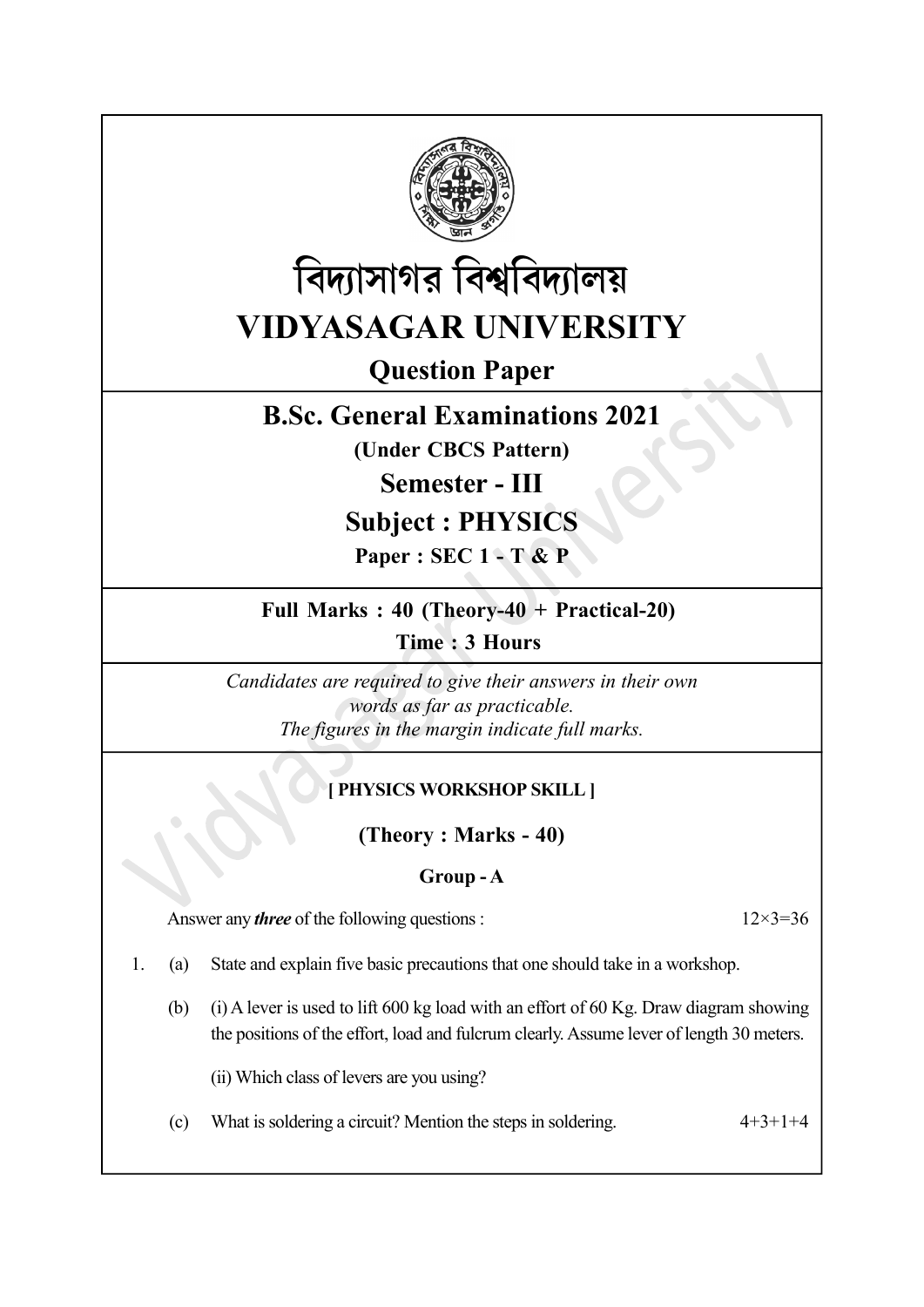



Question Paper

# B.Sc. General Examinations 2021

(Under CBCS Pattern)

Semester - III

# Subject : PHYSICS

Paper : SEC 1 - T & P

## Full Marks : 40 (Theory-40 + Practical-20)

Time : 3 Hours

Candidates are required to give their answers in their own words as far as practicable. The figures in the margin indicate full marks.

# [ PHYSICS WORKSHOP SKILL ]

(Theory : Marks - 40)

#### Group - A

Answer any *three* of the following questions :  $12 \times 3 = 36$ 

1. (a) State and explain five basic precautions that one should take in a workshop.

(b) (i) A lever is used to lift 600 kg load with an effort of 60 Kg. Draw diagram showing the positions of the effort, load and fulcrum clearly. Assume lever of length 30 meters.

(ii) Which class of levers are you using?

(c) What is soldering a circuit? Mention the steps in soldering.  $4+3+1+4$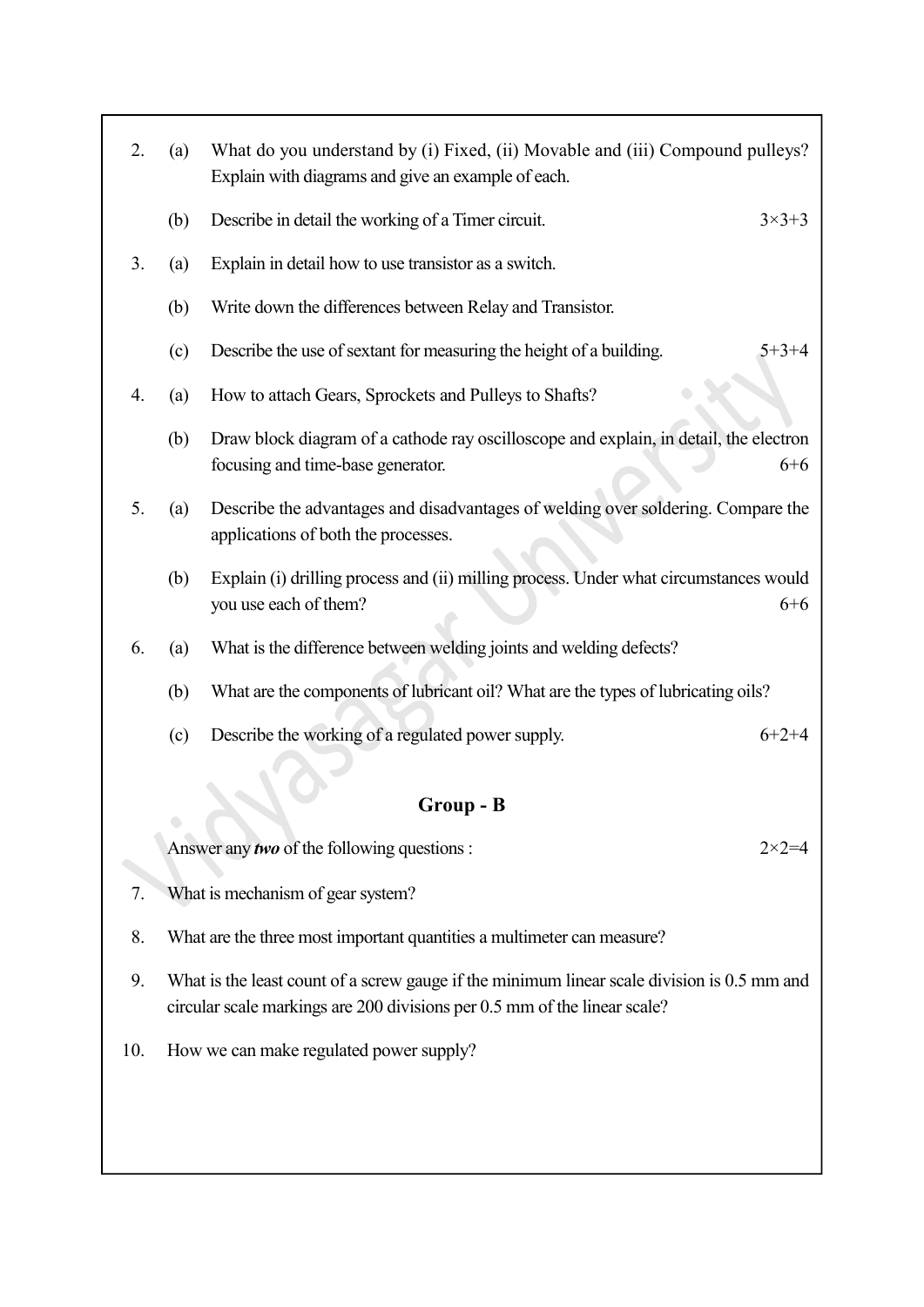| 2. | (a) | What do you understand by (i) Fixed, (ii) Movable and (iii) Compound pulleys?<br>Explain with diagrams and give an example of each.   |
|----|-----|---------------------------------------------------------------------------------------------------------------------------------------|
|    | (b) | Describe in detail the working of a Timer circuit.<br>$3 \times 3 + 3$                                                                |
| 3. | (a) | Explain in detail how to use transistor as a switch.                                                                                  |
|    | (b) | Write down the differences between Relay and Transistor.                                                                              |
|    | (c) | Describe the use of sextant for measuring the height of a building.<br>$5 + 3 + 4$                                                    |
| 4. | (a) | How to attach Gears, Sprockets and Pulleys to Shafts?                                                                                 |
|    | (b) | Draw block diagram of a cathode ray oscilloscope and explain, in detail, the electron<br>focusing and time-base generator.<br>$6 + 6$ |
| 5. | (a) | Describe the advantages and disadvantages of welding over soldering. Compare the<br>applications of both the processes.               |
|    | (b) | Explain (i) drilling process and (ii) milling process. Under what circumstances would<br>you use each of them?<br>$6 + 6$             |
| 6. | (a) | What is the difference between welding joints and welding defects?                                                                    |
|    | (b) | What are the components of lubricant oil? What are the types of lubricating oils?                                                     |
|    | (c) | Describe the working of a regulated power supply.<br>$6+2+4$                                                                          |
|    |     | Group - B                                                                                                                             |
|    |     | Answer any two of the following questions :<br>$2 \times 2 = 4$                                                                       |
| 7. |     | What is mechanism of gear system?                                                                                                     |
| 8. |     | What are the three most important quantities a multimeter can measure?                                                                |

- 9. What is the least count of a screw gauge if the minimum linear scale division is 0.5 mm and circular scale markings are 200 divisions per 0.5 mm of the linear scale?
- 10. How we can make regulated power supply?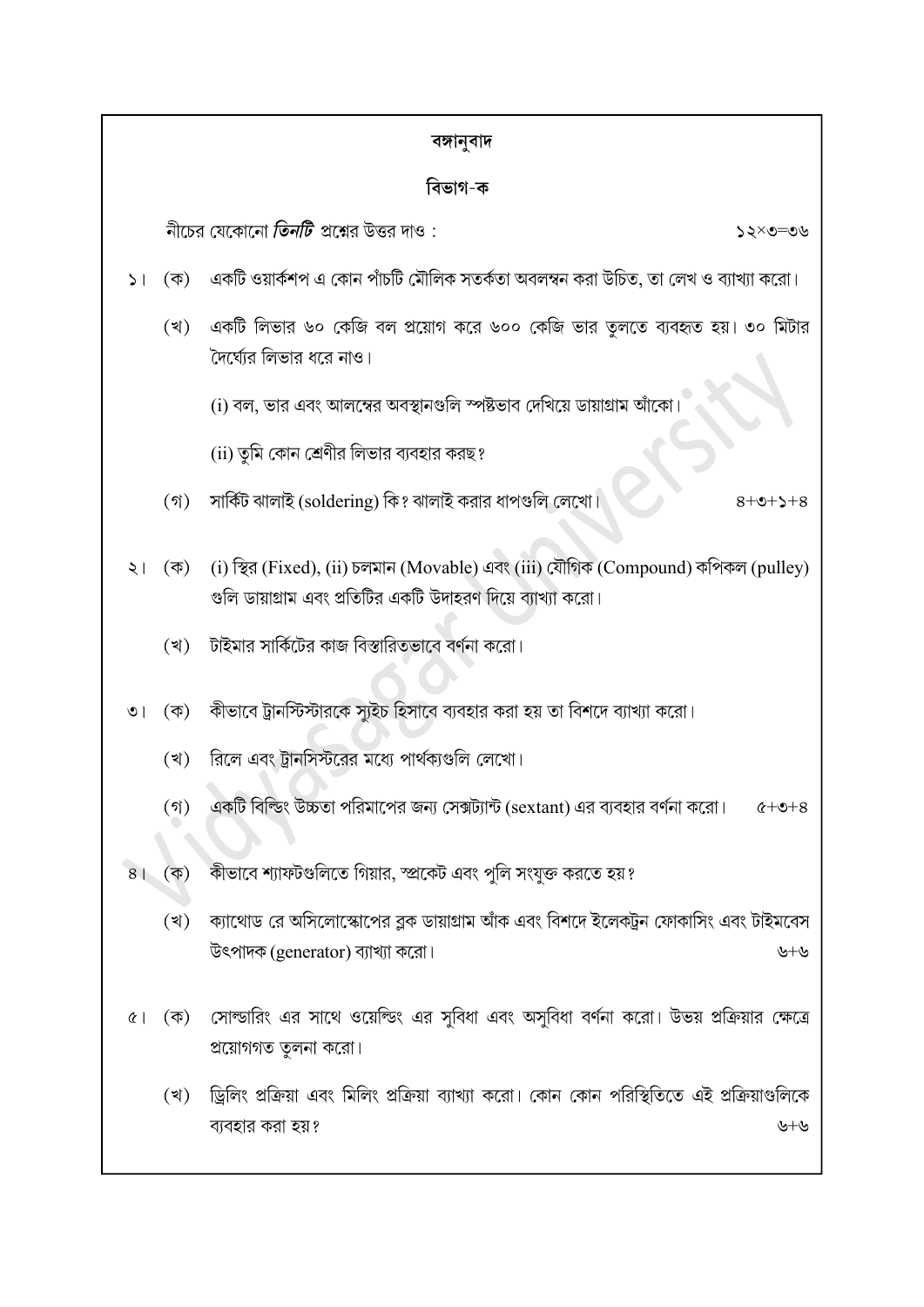|                |                     | বঙ্গানুবাদ                                                                                                                                        |  |
|----------------|---------------------|---------------------------------------------------------------------------------------------------------------------------------------------------|--|
|                |                     | বিভাগ-ক                                                                                                                                           |  |
|                |                     | নীচের যেকোনো <i>তিনটি</i> প্রশ্নের উত্তর দাও :<br>১২×৩=৩৬                                                                                         |  |
| 5 <sub>1</sub> | $(\overline{\Phi})$ | একটি ওয়ার্কশপ এ কোন পাঁচটি মৌলিক সতর্কতা অবলম্বন করা উচিত, তা লেখ ও ব্যাখ্যা করো।                                                                |  |
|                | (খ)                 | একটি লিভার ৬০ কেজি বল প্রয়োগ করে ৬০০ কেজি ভার তূলতে ব্যবহৃত হয়। ৩০ মিটার<br>দৈর্ঘ্যের লিভার ধরে নাও।                                            |  |
|                |                     | (i) বল, ভার এবং আলম্বের অবস্থানগুলি স্পষ্টভাব দেখিয়ে ডায়াগ্রাম আঁকো।                                                                            |  |
|                |                     | (ii) তুমি কোন শ্রেণীর লিভার ব্যবহার করছ?                                                                                                          |  |
|                | $($ গ)              | সার্কিট ঝালাই (soldering) কি? ঝালাই করার ধাপগুলি লেখো।<br>$8 + 2 + 2 + 8$                                                                         |  |
| ২।             | $(\overline{\Phi})$ | (i) স্থির (Fixed), (ii) চলমান (Movable) এবং (iii) যৌগিক (Compound) কপিকল (pulley)<br>গুলি ডায়াগ্রাম এবং প্রতিটির একটি উদাহরণ দিয়ে ব্যাখ্যা করো। |  |
|                | (খ)                 | টাইমার সার্কিটের কাজ বিস্তারিতভাবে বর্ণনা করো।                                                                                                    |  |
| $\circ$        | $(\overline{\Phi})$ | কীভাবে ট্রানস্টিস্টারকে স্যুইচ হিসাবে ব্যবহার করা হয় তা বিশদে ব্যাখ্যা করো।                                                                      |  |
|                | (খ)                 | রিলে এবং ট্রানসিস্টরের মধ্যে পার্থক্যগুলি লেখো।                                                                                                   |  |
|                | $($ গ)              | একটি বিল্ডিং উচ্চতা পরিমাপের জন্য সেক্সট্যান্ট (sextant) এর ব্যবহার বর্ণনা করো। $\qquad$ $\alpha +$ ৩+৪                                           |  |
| 8 <sup>1</sup> | $(\overline{\Phi})$ | কীভাবে শ্যাফটগুলিতে গিয়ার, স্প্রকেট এবং পুলি সংযুক্ত করতে হয়?                                                                                   |  |
|                | (খ)                 | ক্যাথোড রে অসিলোস্কোপের ব্লক ডায়াগ্রাম আঁক এবং বিশদে ইলেকট্রন ফোকাসিং এবং টাইমবেস<br>উৎপাদক (generator) ব্যাখ্যা করো।<br>৬+৬                     |  |
| $\alpha$       | $(\vec{\Phi})$      | সোল্ডারিং এর সাথে ওয়েল্ডিং এর সুবিধা এবং অসুবিধা বর্ণনা করো। উভয় প্রক্রিয়ার ক্ষেত্রে<br>প্রয়োগগত তুলনা করো।                                   |  |
|                | (খ)                 | ড্রিলিং প্রক্রিয়া এবং মিলিং প্রক্রিয়া ব্যাখ্যা করো। কোন কোন পরিস্থিতিতে এই প্রক্রিয়াগুলিকে<br>ব্যবহার করা হয়?<br>৬+৬                          |  |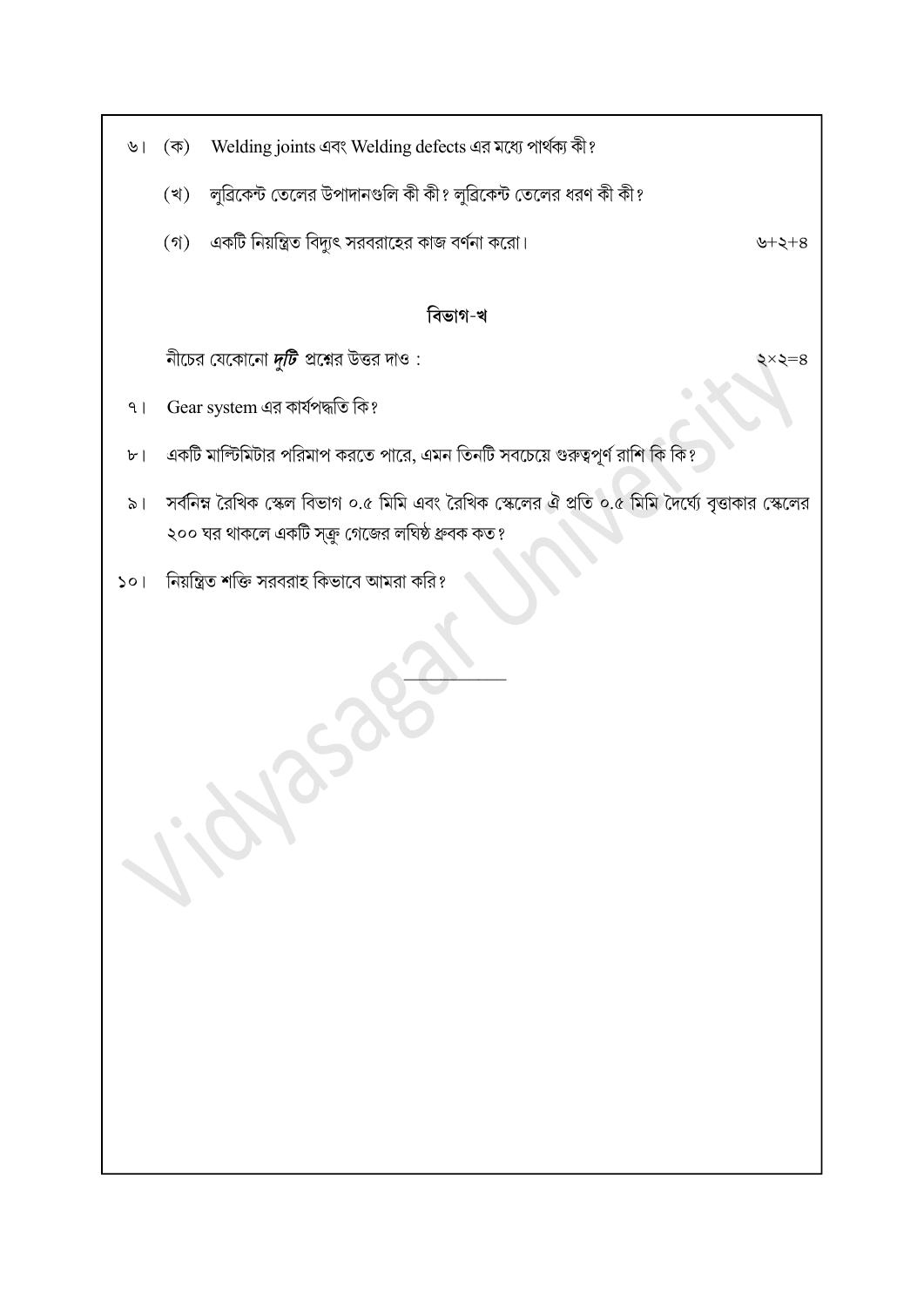- Welding joints এবং Welding defects এর মধ্যে পার্থক্য কী?  $\circ$ । (ক)
	- লুৱিকেন্ট তেলের উপাদানগুলি কী কী? লুৱিকেন্ট তেলের ধরণ কী কী? (খ)
	- (গ) একটি নিয়ন্ত্রিত বিদ্যুৎ সরবরাহের কাজ বর্ণনা করো।

## বিভাগ-খ

নীচের যেকোনো দুটি প্রশ্নের উত্তর দাও:

- Gear system এর কার্যপদ্ধতি কি?  $9<sub>1</sub>$
- একটি মাল্টিমিটার পরিমাপ করতে পারে, এমন তিনটি সবচেয়ে গুরুত্বপূর্ণ রাশি কি কি?  $b$ <sup>-</sup>
- সর্বনিম্ন রৈখিক স্কেল বিভাগ ০.৫ মিমি এবং রৈখিক স্কেলের ঐ প্রতি ০.৫ মিমি দৈর্ঘ্যে বৃত্তাকার স্কেলের  $\geqslant$ ২০০ ঘর থাকলে একটি স্ক্রু গেজের লঘিষ্ঠ ধ্রুবক কত?

 $\Box$ 

নিয়ন্ত্রিত শক্তি সরবরাহ কিভাবে আমরা করি?  $50<sub>1</sub>$ 

৬ $+$ ২ $+8$ 

 $\zeta \times \zeta = 8$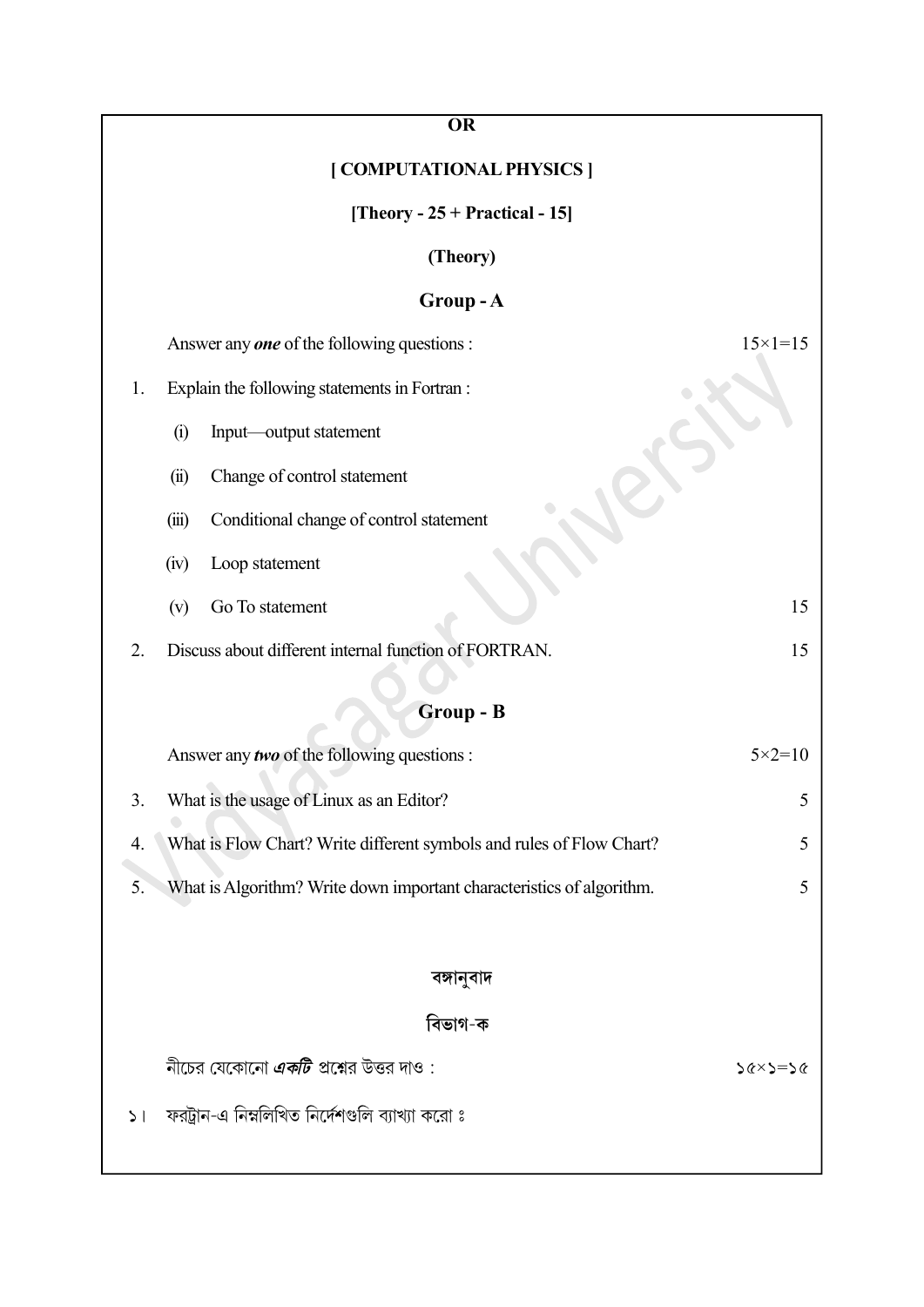| <b>OR</b>                                                                   |                    |  |  |  |  |
|-----------------------------------------------------------------------------|--------------------|--|--|--|--|
| [ COMPUTATIONAL PHYSICS ]                                                   |                    |  |  |  |  |
| [Theory - $25 + \text{Practical} - 15$ ]                                    |                    |  |  |  |  |
| (Theory)                                                                    |                    |  |  |  |  |
| Group-A                                                                     |                    |  |  |  |  |
| $15 \times 1 = 15$<br>Answer any <b>one</b> of the following questions :    |                    |  |  |  |  |
| Explain the following statements in Fortran :<br>1.                         |                    |  |  |  |  |
| (i)<br>Input—output statement                                               |                    |  |  |  |  |
| Change of control statement<br>(ii)                                         |                    |  |  |  |  |
| Conditional change of control statement<br>(iii)                            |                    |  |  |  |  |
| (iv)<br>Loop statement                                                      |                    |  |  |  |  |
| Go To statement<br>(v)                                                      | 15                 |  |  |  |  |
| Discuss about different internal function of FORTRAN.<br>2.                 | 15                 |  |  |  |  |
| Group - B                                                                   |                    |  |  |  |  |
| Answer any two of the following questions :                                 | $5 \times 2 = 10$  |  |  |  |  |
| What is the usage of Linux as an Editor?<br>3.                              | C                  |  |  |  |  |
| What is Flow Chart? Write different symbols and rules of Flow Chart?<br>4.  | 5                  |  |  |  |  |
| What is Algorithm? Write down important characteristics of algorithm.<br>5. | 5                  |  |  |  |  |
|                                                                             |                    |  |  |  |  |
| বঙ্গানুবাদ                                                                  |                    |  |  |  |  |
| বিভাগ-ক                                                                     |                    |  |  |  |  |
| নীচের যেকোনো <i><b>একটি</b> প্র</i> শ্নের উত্তর দাও :                       | $56 \times 5 = 56$ |  |  |  |  |
| ফরট্রান-এ নিম্নলিখিত নির্দেশগুলি ব্যাখ্যা করো ঃ<br>$\geq$ $\mid$            |                    |  |  |  |  |
|                                                                             |                    |  |  |  |  |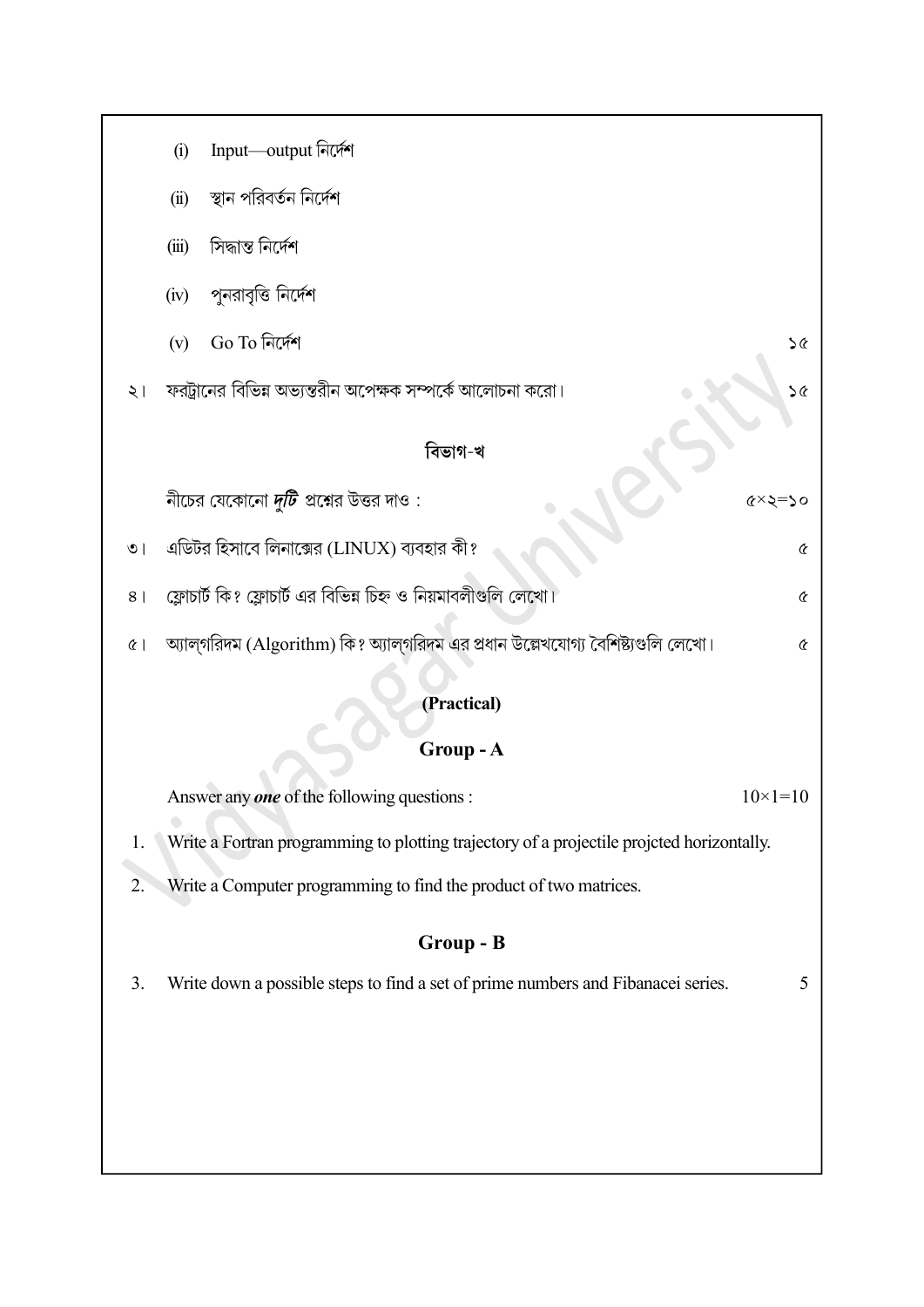| Input—output নির্দেশ<br>(i)                                                                             |  |  |  |  |  |
|---------------------------------------------------------------------------------------------------------|--|--|--|--|--|
| স্থান পরিবর্তন নির্দেশ<br>(ii)                                                                          |  |  |  |  |  |
| সিদ্ধান্ত নিৰ্দেশ<br>(iii)                                                                              |  |  |  |  |  |
| পুনরাবৃত্তি নির্দেশ<br>(iv)                                                                             |  |  |  |  |  |
| Go To নিৰ্দেশ<br>(v)<br>$\infty$                                                                        |  |  |  |  |  |
| ফরট্রানের বিভিন্ন অভ্যন্তরীন অপেক্ষক সম্পর্কে আলোচনা করো।<br>$\infty$<br>$\geq 1$                       |  |  |  |  |  |
| বিভাগ-খ                                                                                                 |  |  |  |  |  |
| নীচের যেকোনো <i>দুটি</i> প্রশ্নের উত্তর দাও :<br>$\alpha \times \alpha = 0$                             |  |  |  |  |  |
| এডিটর হিসাবে লিনাক্সের (LINUX) ব্যবহার কী?<br>$\pmb{\mathcal{C}}$<br>$\circ$                            |  |  |  |  |  |
| ফ্লোচার্ট কি? ফ্লোচার্ট এর বিভিন্ন চিহ্ন ও নিয়মাবলীগুলি লেখো।<br>8 <sup>1</sup><br>$\pmb{\mathcal{C}}$ |  |  |  |  |  |
| অ্যাল্গরিদম (Algorithm) কি? অ্যাল্গরিদম এর প্রধান উল্লেখযোগ্য বৈশিষ্ট্যগুলি লেখো।<br>$\alpha$<br>Q      |  |  |  |  |  |
| (Practical)                                                                                             |  |  |  |  |  |
| Group-A                                                                                                 |  |  |  |  |  |
|                                                                                                         |  |  |  |  |  |
| Answer any one of the following questions :<br>$10\times1=10$                                           |  |  |  |  |  |
| Write a Fortran programming to plotting trajectory of a projectile projcted horizontally.<br>1.         |  |  |  |  |  |
| Write a Computer programming to find the product of two matrices.<br>2.                                 |  |  |  |  |  |
| Group - B                                                                                               |  |  |  |  |  |
| Write down a possible steps to find a set of prime numbers and Fibanacei series.<br>3.<br>5             |  |  |  |  |  |
|                                                                                                         |  |  |  |  |  |